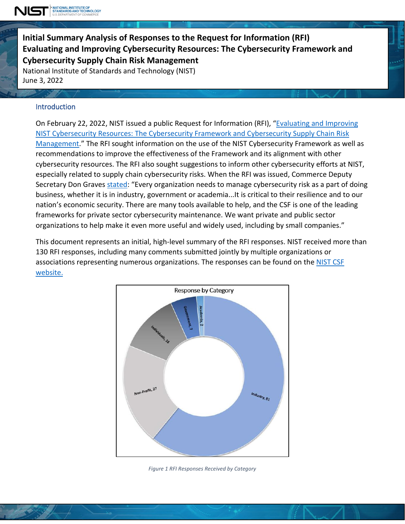

**Initial Summary Analysis of Responses to the Request for Information (RFI) Evaluating and Improving Cybersecurity Resources: The Cybersecurity Framework and Cyb ersecurity Supply Chain Risk Management**

National Institute of Standards and Technology (NIST) June 3, 2022

#### **Introduction**

ì

On February 22, 2022, NIST issued a public Request for Information (RFI), ["Evaluating](https://www.federalregister.gov/documents/2022/02/22/2022-03642/evaluating-and-improving-nist-cybersecurity-resources-the-cybersecurity-framework-and-cybersecurity) and Improving NIST [Cybersecurity](https://www.federalregister.gov/documents/2022/02/22/2022-03642/evaluating-and-improving-nist-cybersecurity-resources-the-cybersecurity-framework-and-cybersecurity) Resources: The Cybersecurity Framework and Cybersecurity Supply Chain Risk [Management.](https://www.federalregister.gov/documents/2022/02/22/2022-03642/evaluating-and-improving-nist-cybersecurity-resources-the-cybersecurity-framework-and-cybersecurity)" The RFI sought information on the use of the NIST Cybersecurity Framework as well as recommendations to improve the effectiveness of the Framework and its alignment with other cybersecurity resources. The RFI also sought suggestions to inform other cybersecurity efforts at NIST, especially related to supply chain cybersecurity risks. When the RFI was issued, Commerce Deputy Secretary Don Graves [stated:](https://www.nist.gov/news-events/news/2022/02/nist-seeks-input-update-cybersecurity-framework-supply-chain-guidance) "Every organization needs to manage cybersecurity risk as a part of doing business, whether it is in industry, government or academia...It is critical to their resilience and to our nation's economic security. There are many tools available to help, and the CSF is one of the leading frameworks for private sector cybersecurity maintenance. We want private and public sector organizations to help make it even more useful and widely used, including by small companies."

This document represents an initial, high-level summary of the RFI responses. NIST received more than 130 RFI responses, including many comments submitted jointly by multiple organizations or associations representing numerous organizations. The responses can be found on the [NIST](https://www.nist.gov/cyberframework/comments-received-rfi-about-evaluating-and-improving-cybersecurity-resources) CSF [website.](https://www.nist.gov/cyberframework/comments-received-rfi-about-evaluating-and-improving-cybersecurity-resources)



*Figure 1 RFI Responses Received by Category*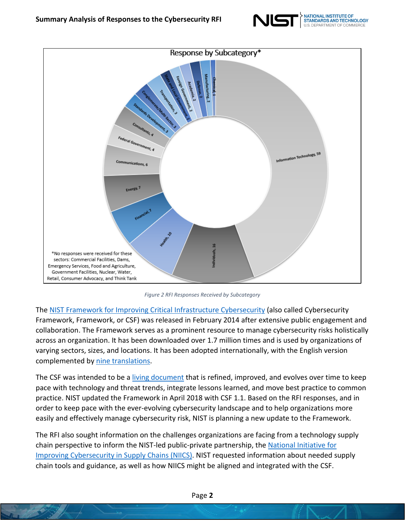



*Figure 2 RFI Responses Received by Subcategory*

The NIST Framework for Improving Critical Infrastructure [Cybersecurity](https://www.nist.gov/cyberframework) (also called Cybersecurity Framework, Framework, or CSF) was released in February 2014 after extensive public engagement and collaboration. The Framework serves as a prominent resource to manage cybersecurity risks holistically across an organization. It has been downloaded over 1.7 million times and is used by organizations of varying sectors, sizes, and locations. It has been adopted internationally, with the English version complemented by [nine translations.](https://www.nist.gov/cyberframework/framework)

The CSF was intended to be a [living document](https://www.nist.gov/cyberframework/evolution) that is refined, improved, and evolves over time to keep pace with technology and threat trends, integrate lessons learned, and move best practice to common practice. NIST updated the Framework in April 2018 with CSF 1.1. Based on the RFI responses, and in order to keep pace with the ever-evolving cybersecurity landscape and to help organizations more easily and effectively manage cybersecurity risk, NIST is planning a new update to the Framework.

The RFI also sought information on the challenges organizations are facing from a technology supply chain perspective to inform the NIST-led public-private partnership, the National [Initiative](https://www.nist.gov/cybersecurity/improving-cybersecurity-supply-chains-nists-public-private-partnership) for Improving [Cybersecurity](https://www.nist.gov/cybersecurity/improving-cybersecurity-supply-chains-nists-public-private-partnership) in Supply Chains (NIICS). NIST requested information about needed supply chain tools and guidance, as well as how NIICS might be aligned and integrated with the CSF.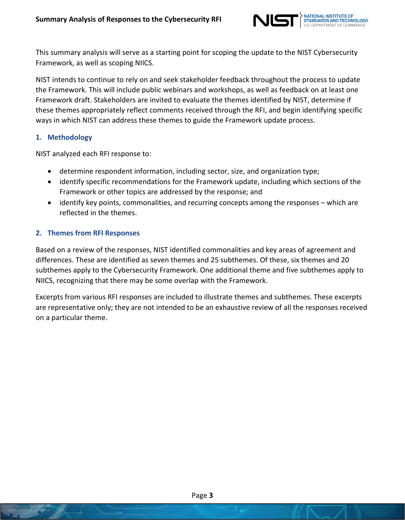

This summary analysis will serve as a starting point for scoping the update to the NIST Cybersecurity Framework, as well as scoping NIICS.

NIST intends to continue to rely on and seek stakeholder feedback throughout the process to update the Framework. This will include public webinars and workshops, as well as feedback on at least one Framework draft. Stakeholders are invited to evaluate the themes identified by NIST, determine if these themes appropriately reflect comments received through the RFI, and begin identifying specific ways in which NIST can address these themes to guide the Framework update process.

#### **1. Methodology**

NIST analyzed each RFI response to:

- determine respondent information, including sector, size, and organization type;
- identify specific recommendations for the Framework update, including which sections of the Framework or other topics are addressed by the response; and
- identify key points, commonalities, and recurring concepts among the responses which are reflected in the themes.

#### **2. Themes from RFI Responses**

Based on a review of the responses, NIST identified commonalities and key areas of agreement and differences. These are identified as seven themes and 25 subthemes. Of these, six themes and 20 subthemes apply to the Cybersecurity Framework. One additional theme and five subthemes apply to NIICS, recognizing that there may be some overlap with the Framework.

Excerpts from various RFI responses are included to illustrate themes and subthemes. These excerpts are representative only; they are not intended to be an exhaustive review of all the responses received on a particular theme.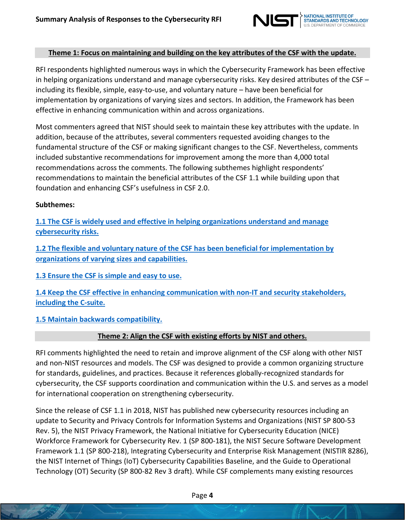

### **Theme 1: Focus on maintaining and building on the key attributes of the CSF with the update.**

RFI respondents highlighted numerous ways in which the Cybersecurity Framework has been effective in helping organizations understand and manage cybersecurity risks. Key desired attributes of the CSF – including its flexible, simple, easy-to-use, and voluntary nature – have been beneficial for implementation by organizations of varying sizes and sectors. In addition, the Framework has been effective in enhancing communication within and across organizations.

Most commenters agreed that NIST should seek to maintain these key attributes with the update. In addition, because of the attributes, several commenters requested avoiding changes to the fundamental structure of the CSF or making significant changes to the CSF. Nevertheless, comments included substantive recommendations for improvement among the more than 4,000 total recommendations across the comments. The following subthemes highlight respondents' recommendations to maintain the beneficial attributes of the CSF 1.1 while building upon that foundation and enhancing CSF's usefulness in CSF 2.0.

#### **Subthemes:**

**1.1 The CSF is widely used and effective in helping [organizations](#page-7-0) understand and manage [cybersecurity](#page-7-0) risks.**

**1.2 The flexible and voluntary nature of the CSF has been beneficial for [implementation](#page-8-0) by [organizations](#page-8-0) of varying sizes and capabilities.**

**1.3 [Ensure](#page-9-0) the CSF is simple and easy to use.**

**1.4 Keep the CSF effective in enhancing [communication](#page-10-0) with non-IT and security stakeholders, [including](#page-10-0) the C-suite.**

## **1.5 Maintain backwards [compatibility.](#page-11-0)**

## **Theme 2: Align the CSF with existing efforts by NIST and others.**

RFI comments highlighted the need to retain and improve alignment of the CSF along with other NIST and non-NIST resources and models. The CSF was designed to provide a common organizing structure for standards, guidelines, and practices. Because it references globally-recognized standards for cybersecurity, the CSF supports coordination and communication within the U.S. and serves as a model for international cooperation on strengthening cybersecurity.

Since the release of CSF 1.1 in 2018, NIST has published new cybersecurity resources including an update to Security and Privacy Controls for Information Systems and Organizations (NIST SP 800-53 Rev. 5), the NIST Privacy Framework, the National Initiative for Cybersecurity Education (NICE) Workforce Framework for Cybersecurity Rev. 1 (SP 800-181), the NIST Secure Software Development Framework 1.1 (SP 800-218), Integrating Cybersecurity and Enterprise Risk Management (NISTIR 8286), the NIST Internet of Things (IoT) Cybersecurity Capabilities Baseline, and the Guide to Operational Technology (OT) Security (SP 800-82 Rev 3 draft). While CSF complements many existing resources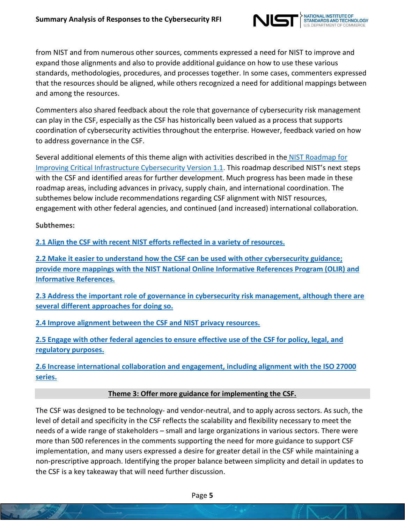

from NIST and from numerous other sources, comments expressed a need for NIST to improve and expand those alignments and also to provide additional guidance on how to use these various standards, methodologies, procedures, and processes together. In some cases, commenters expressed that the resources should be aligned, while others recognized a need for additional mappings between and among the resources.

Commenters also shared feedback about the role that governance of cybersecurity risk management can play in the CSF, especially as the CSF has historically been valued as a process that supports coordination of cybersecurity activities throughout the enterprise. However, feedback varied on how to address governance in the CSF.

Several additional elements of this theme align with activities described in the NIST [Roadmap](https://www.nist.gov/system/files/documents/2019/04/25/csf-roadmap-1.1-final-042519.pdf) for Improving Critical [Infrastructure](https://www.nist.gov/system/files/documents/2019/04/25/csf-roadmap-1.1-final-042519.pdf) Cybersecurity Version 1.1. This roadmap described NIST's next steps with the CSF and identified areas for further development. Much progress has been made in these roadmap areas, including advances in privacy, supply chain, and international coordination. The subthemes below include recommendations regarding CSF alignment with NIST resources, engagement with other federal agencies, and continued (and increased) international collaboration.

**Subthemes:**

**2.1 Align the CSF with recent NIST efforts reflected in a variety of [resources.](#page-12-0)**

**2.2 Make it easier to understand how the CSF can be used with other [cybersecurity](#page-13-0) guidance; provide more mappings with the NIST National Online [Informative](#page-13-0) References Program (OLIR) and [Informative](#page-13-0) References.**

**2.3 Address the important role of governance in cybersecurity [risk management,](#page-14-0) although there are several different [approaches](#page-14-0) for doing so.**

**2.4 Improve alignment between the CSF and NIST privacy [resources.](#page-15-0)**

**2.5 Engage with other federal agencies to ensure [effective](#page-16-0) use of the CSF for policy, legal, and [regulatory](#page-16-0) purposes.**

**2.6 Increase international [collaboration](#page-17-0) and engagement, including alignment with the ISO 27000 [series.](#page-17-0)**

## **Theme 3: Offer more guidance for implementing the CSF.**

The CSF was designed to be technology- and vendor-neutral, and to apply across sectors. As such, the level of detail and specificity in the CSF reflects the scalability and flexibility necessary to meet the needs of a wide range of stakeholders – small and large organizations in various sectors. There were more than 500 references in the comments supporting the need for more guidance to support CSF implementation, and many users expressed a desire for greater detail in the CSF while maintaining a non-prescriptive approach. Identifying the proper balance between simplicity and detail in updates to the CSF is a key takeaway that will need further discussion.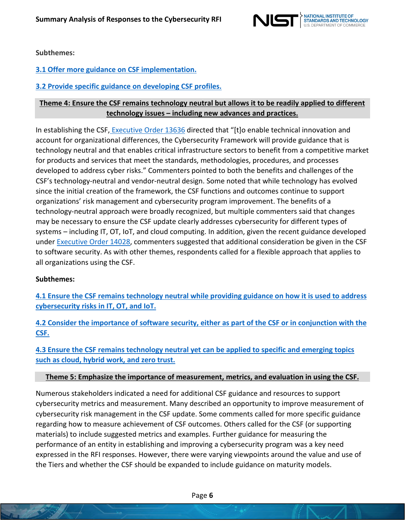

**Subthemes:**

**3.1 Offer more guidance on CSF [implementation.](#page-18-0)**

**3.2 Provide specific guidance on [developing](#page-19-0) CSF profiles.**

## **Theme 4: Ensure the CSF remains technology neutral but allows it to be readily applied to different technology issues – including new advances and practices.**

In establishing the CSF, [Executive](https://obamawhitehouse.archives.gov/the-press-office/2013/02/12/executive-order-improving-critical-infrastructure-cybersecurity) Order 13636 directed that "[t]o enable technical innovation and account for organizational differences, the Cybersecurity Framework will provide guidance that is technology neutral and that enables critical infrastructure sectors to benefit from a competitive market for products and services that meet the standards, methodologies, procedures, and processes developed to address cyber risks." Commenters pointed to both the benefits and challenges of the CSF's technology-neutral and vendor-neutral design. Some noted that while technology has evolved since the initial creation of the framework, the CSF functions and outcomes continue to support organizations' risk management and cybersecurity program improvement. The benefits of a technology-neutral approach were broadly recognized, but multiple commenters said that changes may be necessary to ensure the CSF update clearly addresses cybersecurity for different types of systems – including IT, OT, IoT, and cloud computing. In addition, given the recent guidance developed under [Executive](https://www.whitehouse.gov/briefing-room/presidential-actions/2021/05/12/executive-order-on-improving-the-nations-cybersecurity/) Order 14028, commenters suggested that additional consideration be given in the CSF to software security. As with other themes, respondents called for a flexible approach that applies to all organizations using the CSF.

#### **Subthemes:**

**4.1 Ensure the CSF remains [technology](#page-20-0) neutral while providing guidance on how it is used to address [cybersecurity](#page-20-0) risks in IT, OT, and IoT.**

4.2 Consider the importance of software security, either as part of the CSF or in [conjunction](#page-21-0) with the **[CSF.](#page-21-0)**

**4.3 Ensure the CSF remains [technology](#page-22-0) neutral yet can be applied to specific and emerging topics such as cloud, [hybrid](#page-22-0) work, and zero trust.**

#### **Theme 5: Emphasize the importance of measurement, metrics, and evaluation in using the CSF.**

Numerous stakeholders indicated a need for additional CSF guidance and resources to support cybersecurity metrics and measurement. Many described an opportunity to improve measurement of cybersecurity risk management in the CSF update. Some comments called for more specific guidance regarding how to measure achievement of CSF outcomes. Others called for the CSF (or supporting materials) to include suggested metrics and examples. Further guidance for measuring the performance of an entity in establishing and improving a cybersecurity program was a key need expressed in the RFI responses. However, there were varying viewpoints around the value and use of the Tiers and whether the CSF should be expanded to include guidance on maturity models.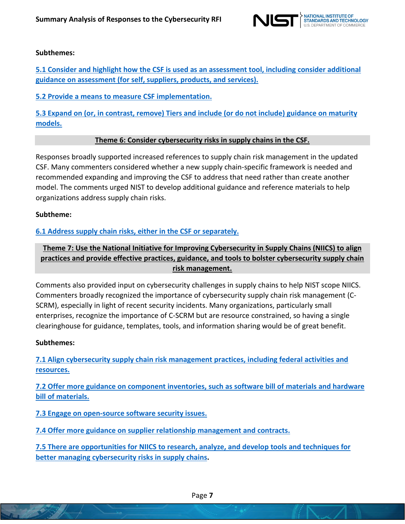

## **Subthemes:**

**5.1 Consider and highlight how the CSF is used as an assessment tool, including [consider additional](#page-23-0) guidance on [assessment](#page-23-0) (for self, suppliers, products, and services).**

**5.2 Provide a means to measure CSF [implementation.](#page-24-0)**

**5.3 Expand on (or, in contrast, remove) Tiers and include (or do not include) [guidance](#page-25-0) on maturity [models.](#page-25-0)**

#### **Theme 6: Consider cybersecurity risks in supply chains in the CSF.**

Responses broadly supported increased references to supply chain risk management in the updated CSF. Many commenters considered whether a new supply chain-specific framework is needed and recommended expanding and improving the CSF to address that need rather than create another model. The comments urged NIST to develop additional guidance and reference materials to help organizations address supply chain risks.

#### **Subtheme:**

## **6.1 Address supply chain risks, either in the CSF or [separately.](#page-26-0)**

# **Theme 7: Use the National Initiative for Improving Cybersecurity in Supply Chains (NIICS) to align practices and provide effective practices, guidance, and tools to bolster cybersecurity supply chain risk management.**

Comments also provided input on cybersecurity challenges in supply chains to help NIST scope NIICS. Commenters broadly recognized the importance of cybersecurity supply chain risk management (C-SCRM), especially in light of recent security incidents. Many organizations, particularly small enterprises, recognize the importance of C-SCRM but are resource constrained, so having a single clearinghouse for guidance, templates, tools, and information sharing would be of great benefit.

#### **Subthemes:**

**7.1 Align [cybersecurity](#page-27-0) supply chain risk management practices, including federal activities and [resources.](#page-27-0)**

**7.2 Offer more guidance on component [inventories,](#page-28-0) such as software bill of materials and hardware bill of [materials.](#page-28-0)**

**7.3 Engage on [open-source](#page-29-0) software security issues.**

**7.4 Offer more guidance on supplier relationship [management](#page-30-0) and contracts.**

**7.5 [There are opportunities](#page-31-0) for NIICS to research, analyze, and develop tools and techniques for better managing [cybersecurity](#page-31-0) risks in supply chains.**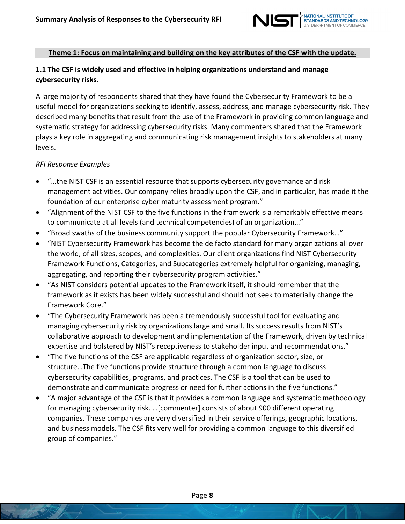

### **Theme 1: Focus on maintaining and building on the key attributes of the CSF with the update.**

# <span id="page-7-0"></span>**1.1 The CSF is widely used and effective in helping organizations understand and manage cybersecurity risks.**

A large majority of respondents shared that they have found the Cybersecurity Framework to be a useful model for organizations seeking to identify, assess, address, and manage cybersecurity risk. They described many benefits that result from the use of the Framework in providing common language and systematic strategy for addressing cybersecurity risks. Many commenters shared that the Framework plays a key role in aggregating and communicating risk management insights to stakeholders at many levels.

- "…the NIST CSF is an essential resource that supports cybersecurity governance and risk management activities. Our company relies broadly upon the CSF, and in particular, has made it the foundation of our enterprise cyber maturity assessment program."
- "Alignment of the NIST CSF to the five functions in the framework is a remarkably effective means to communicate at all levels (and technical competencies) of an organization…"
- "Broad swaths of the business community support the popular Cybersecurity Framework…"
- "NIST Cybersecurity Framework has become the de facto standard for many organizations all over the world, of all sizes, scopes, and complexities. Our client organizations find NIST Cybersecurity Framework Functions, Categories, and Subcategories extremely helpful for organizing, managing, aggregating, and reporting their cybersecurity program activities."
- "As NIST considers potential updates to the Framework itself, it should remember that the framework as it exists has been widely successful and should not seek to materially change the Framework Core."
- "The Cybersecurity Framework has been a tremendously successful tool for evaluating and managing cybersecurity risk by organizations large and small. Its success results from NIST's collaborative approach to development and implementation of the Framework, driven by technical expertise and bolstered by NIST's receptiveness to stakeholder input and recommendations."
- "The five functions of the CSF are applicable regardless of organization sector, size, or structure…The five functions provide structure through a common language to discuss cybersecurity capabilities, programs, and practices. The CSF is a tool that can be used to demonstrate and communicate progress or need for further actions in the five functions."
- "A major advantage of the CSF is that it provides a common language and systematic methodology for managing cybersecurity risk. …[commenter] consists of about 900 different operating companies. These companies are very diversified in their service offerings, geographic locations, and business models. The CSF fits very well for providing a common language to this diversified group of companies."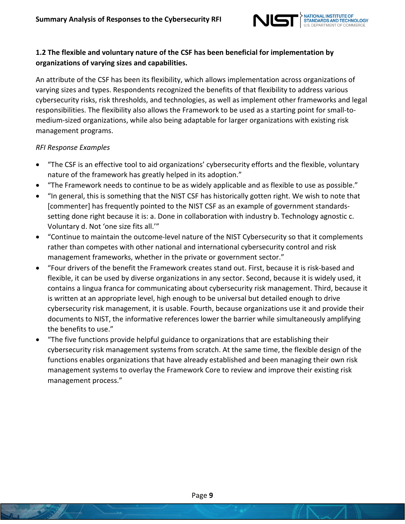

# <span id="page-8-0"></span>**1.2 The flexible and voluntary nature of the CSF has been beneficial for implementation by organizations of varying sizes and capabilities.**

An attribute of the CSF has been its flexibility, which allows implementation across organizations of varying sizes and types. Respondents recognized the benefits of that flexibility to address various cybersecurity risks, risk thresholds, and technologies, as well as implement other frameworks and legal responsibilities. The flexibility also allows the Framework to be used as a starting point for small-tomedium-sized organizations, while also being adaptable for larger organizations with existing risk management programs.

- "The CSF is an effective tool to aid organizations' cybersecurity efforts and the flexible, voluntary nature of the framework has greatly helped in its adoption."
- "The Framework needs to continue to be as widely applicable and as flexible to use as possible."
- "In general, this is something that the NIST CSF has historically gotten right. We wish to note that [commenter] has frequently pointed to the NIST CSF as an example of government standardssetting done right because it is: a. Done in collaboration with industry b. Technology agnostic c. Voluntary d. Not 'one size fits all.'"
- "Continue to maintain the outcome-level nature of the NIST Cybersecurity so that it complements rather than competes with other national and international cybersecurity control and risk management frameworks, whether in the private or government sector."
- "Four drivers of the benefit the Framework creates stand out. First, because it is risk-based and flexible, it can be used by diverse organizations in any sector. Second, because it is widely used, it contains a lingua franca for communicating about cybersecurity risk management. Third, because it is written at an appropriate level, high enough to be universal but detailed enough to drive cybersecurity risk management, it is usable. Fourth, because organizations use it and provide their documents to NIST, the informative references lower the barrier while simultaneously amplifying the benefits to use."
- "The five functions provide helpful guidance to organizations that are establishing their cybersecurity risk management systems from scratch. At the same time, the flexible design of the functions enables organizations that have already established and been managing their own risk management systems to overlay the Framework Core to review and improve their existing risk management process."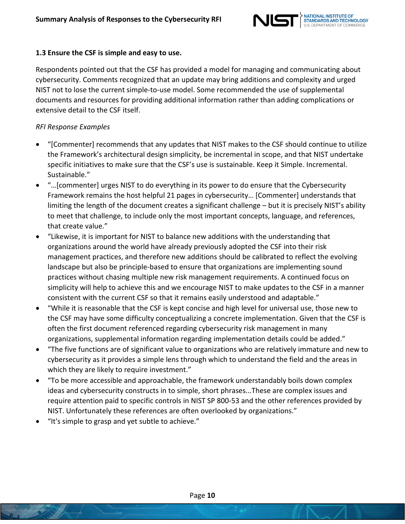

### <span id="page-9-0"></span>**1.3 Ensure the CSF is simple and easy to use.**

Respondents pointed out that the CSF has provided a model for managing and communicating about cybersecurity. Comments recognized that an update may bring additions and complexity and urged NIST not to lose the current simple-to-use model. Some recommended the use of supplemental documents and resources for providing additional information rather than adding complications or extensive detail to the CSF itself.

- "[Commenter] recommends that any updates that NIST makes to the CSF should continue to utilize the Framework's architectural design simplicity, be incremental in scope, and that NIST undertake specific initiatives to make sure that the CSF's use is sustainable. Keep it Simple. Incremental. Sustainable."
- "…[commenter] urges NIST to do everything in its power to do ensure that the Cybersecurity Framework remains the host helpful 21 pages in cybersecurity… [Commenter] understands that limiting the length of the document creates a significant challenge – but it is precisely NIST's ability to meet that challenge, to include only the most important concepts, language, and references, that create value."
- "Likewise, it is important for NIST to balance new additions with the understanding that organizations around the world have already previously adopted the CSF into their risk management practices, and therefore new additions should be calibrated to reflect the evolving landscape but also be principle-based to ensure that organizations are implementing sound practices without chasing multiple new risk management requirements. A continued focus on simplicity will help to achieve this and we encourage NIST to make updates to the CSF in a manner consistent with the current CSF so that it remains easily understood and adaptable."
- "While it is reasonable that the CSF is kept concise and high level for universal use, those new to the CSF may have some difficulty conceptualizing a concrete implementation. Given that the CSF is often the first document referenced regarding cybersecurity risk management in many organizations, supplemental information regarding implementation details could be added."
- "The five functions are of significant value to organizations who are relatively immature and new to cybersecurity as it provides a simple lens through which to understand the field and the areas in which they are likely to require investment."
- "To be more accessible and approachable, the framework understandably boils down complex ideas and cybersecurity constructs in to simple, short phrases...These are complex issues and require attention paid to specific controls in NIST SP 800-53 and the other references provided by NIST. Unfortunately these references are often overlooked by organizations."
- "It's simple to grasp and yet subtle to achieve."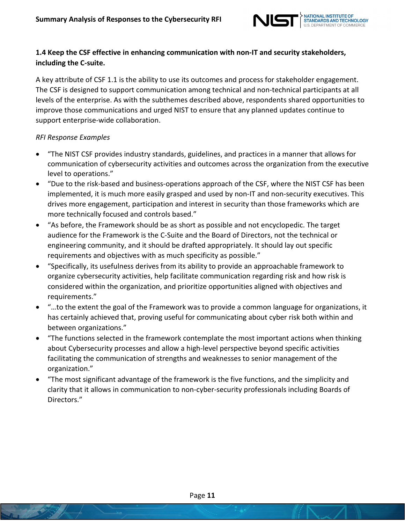

# <span id="page-10-0"></span>**1.4 Keep the CSF effective in enhancing communication with non-IT and security stakeholders, including the C-suite.**

A key attribute of CSF 1.1 is the ability to use its outcomes and process for stakeholder engagement. The CSF is designed to support communication among technical and non-technical participants at all levels of the enterprise. As with the subthemes described above, respondents shared opportunities to improve those communications and urged NIST to ensure that any planned updates continue to support enterprise-wide collaboration.

- "The NIST CSF provides industry standards, guidelines, and practices in a manner that allows for communication of cybersecurity activities and outcomes across the organization from the executive level to operations."
- "Due to the risk-based and business-operations approach of the CSF, where the NIST CSF has been implemented, it is much more easily grasped and used by non-IT and non-security executives. This drives more engagement, participation and interest in security than those frameworks which are more technically focused and controls based."
- "As before, the Framework should be as short as possible and not encyclopedic. The target audience for the Framework is the C-Suite and the Board of Directors, not the technical or engineering community, and it should be drafted appropriately. It should lay out specific requirements and objectives with as much specificity as possible."
- "Specifically, its usefulness derives from its ability to provide an approachable framework to organize cybersecurity activities, help facilitate communication regarding risk and how risk is considered within the organization, and prioritize opportunities aligned with objectives and requirements."
- "…to the extent the goal of the Framework was to provide a common language for organizations, it has certainly achieved that, proving useful for communicating about cyber risk both within and between organizations."
- "The functions selected in the framework contemplate the most important actions when thinking about Cybersecurity processes and allow a high-level perspective beyond specific activities facilitating the communication of strengths and weaknesses to senior management of the organization."
- "The most significant advantage of the framework is the five functions, and the simplicity and clarity that it allows in communication to non-cyber-security professionals including Boards of Directors."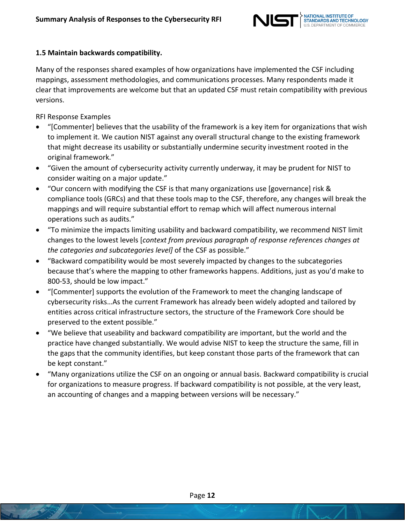

## <span id="page-11-0"></span>**1.5 Maintain backwards compatibility.**

Many of the responses shared examples of how organizations have implemented the CSF including mappings, assessment methodologies, and communications processes. Many respondents made it clear that improvements are welcome but that an updated CSF must retain compatibility with previous versions.

- "[Commenter] believes that the usability of the framework is a key item for organizations that wish to implement it. We caution NIST against any overall structural change to the existing framework that might decrease its usability or substantially undermine security investment rooted in the original framework."
- "Given the amount of cybersecurity activity currently underway, it may be prudent for NIST to consider waiting on a major update."
- "Our concern with modifying the CSF is that many organizations use [governance] risk & compliance tools (GRCs) and that these tools map to the CSF, therefore, any changes will break the mappings and will require substantial effort to remap which will affect numerous internal operations such as audits."
- "To minimize the impacts limiting usability and backward compatibility, we recommend NIST limit changes to the lowest levels [*context from previous paragraph of response references changes at the categories and subcategories level]* of the CSF as possible."
- "Backward compatibility would be most severely impacted by changes to the subcategories because that's where the mapping to other frameworks happens. Additions, just as you'd make to 800-53, should be low impact."
- "[Commenter] supports the evolution of the Framework to meet the changing landscape of cybersecurity risks…As the current Framework has already been widely adopted and tailored by entities across critical infrastructure sectors, the structure of the Framework Core should be preserved to the extent possible."
- "We believe that useability and backward compatibility are important, but the world and the practice have changed substantially. We would advise NIST to keep the structure the same, fill in the gaps that the community identifies, but keep constant those parts of the framework that can be kept constant."
- "Many organizations utilize the CSF on an ongoing or annual basis. Backward compatibility is crucial for organizations to measure progress. If backward compatibility is not possible, at the very least, an accounting of changes and a mapping between versions will be necessary."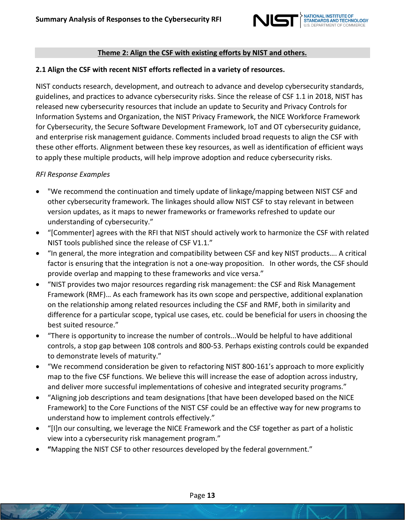

### **Theme 2: Align the CSF with existing efforts by NIST and others.**

### <span id="page-12-0"></span>**2.1 Align the CSF with recent NIST efforts reflected in a variety of resources.**

NIST conducts research, development, and outreach to advance and develop cybersecurity standards, guidelines, and practices to advance cybersecurity risks. Since the release of CSF 1.1 in 2018, NIST has released new cybersecurity resources that include an update to Security and Privacy Controls for Information Systems and Organization, the NIST Privacy Framework, the NICE Workforce Framework for Cybersecurity, the Secure Software Development Framework, IoT and OT cybersecurity guidance, and enterprise risk management guidance. Comments included broad requests to align the CSF with these other efforts. Alignment between these key resources, as well as identification of efficient ways to apply these multiple products, will help improve adoption and reduce cybersecurity risks.

- "We recommend the continuation and timely update of linkage/mapping between NIST CSF and other cybersecurity framework. The linkages should allow NIST CSF to stay relevant in between version updates, as it maps to newer frameworks or frameworks refreshed to update our understanding of cybersecurity."
- "[Commenter] agrees with the RFI that NIST should actively work to harmonize the CSF with related NIST tools published since the release of CSF V1.1."
- "In general, the more integration and compatibility between CSF and key NIST products…. A critical factor is ensuring that the integration is not a one-way proposition. In other words, the CSF should provide overlap and mapping to these frameworks and vice versa."
- "NIST provides two major resources regarding risk management: the CSF and Risk Management Framework (RMF)… As each framework has its own scope and perspective, additional explanation on the relationship among related resources including the CSF and RMF, both in similarity and difference for a particular scope, typical use cases, etc. could be beneficial for users in choosing the best suited resource."
- "There is opportunity to increase the number of controls...Would be helpful to have additional controls, a stop gap between 108 controls and 800-53. Perhaps existing controls could be expanded to demonstrate levels of maturity."
- "We recommend consideration be given to refactoring NIST 800-161's approach to more explicitly map to the five CSF functions. We believe this will increase the ease of adoption across industry, and deliver more successful implementations of cohesive and integrated security programs."
- "Aligning job descriptions and team designations [that have been developed based on the NICE Framework] to the Core Functions of the NIST CSF could be an effective way for new programs to understand how to implement controls effectively."
- "[I]n our consulting, we leverage the NICE Framework and the CSF together as part of a holistic view into a cybersecurity risk management program."
- **"**Mapping the NIST CSF to other resources developed by the federal government."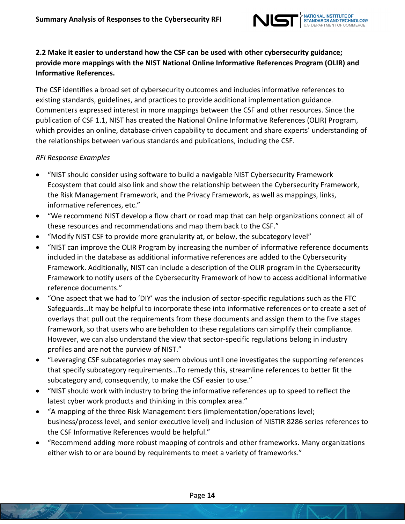

# <span id="page-13-0"></span>**2.2 Make it easier to understand how the CSF can be used with other cybersecurity guidance; provide more mappings with the NIST National Online Informative References Program (OLIR) and Informative References.**

The CSF identifies a broad set of cybersecurity outcomes and includes informative references to existing standards, guidelines, and practices to provide additional implementation guidance. Commenters expressed interest in more mappings between the CSF and other resources. Since the publication of CSF 1.1, NIST has created the National Online Informative References (OLIR) Program, which provides an online, database-driven capability to document and share experts' understanding of the relationships between various standards and publications, including the CSF.

- "NIST should consider using software to build a navigable NIST Cybersecurity Framework Ecosystem that could also link and show the relationship between the Cybersecurity Framework, the Risk Management Framework, and the Privacy Framework, as well as mappings, links, informative references, etc."
- "We recommend NIST develop a flow chart or road map that can help organizations connect all of these resources and recommendations and map them back to the CSF."
- "Modify NIST CSF to provide more granularity at, or below, the subcategory level"
- "NIST can improve the OLIR Program by increasing the number of informative reference documents included in the database as additional informative references are added to the Cybersecurity Framework. Additionally, NIST can include a description of the OLIR program in the Cybersecurity Framework to notify users of the Cybersecurity Framework of how to access additional informative reference documents."
- "One aspect that we had to 'DIY' was the inclusion of sector-specific regulations such as the FTC Safeguards…It may be helpful to incorporate these into informative references or to create a set of overlays that pull out the requirements from these documents and assign them to the five stages framework, so that users who are beholden to these regulations can simplify their compliance. However, we can also understand the view that sector-specific regulations belong in industry profiles and are not the purview of NIST."
- "Leveraging CSF subcategories may seem obvious until one investigates the supporting references that specify subcategory requirements…To remedy this, streamline references to better fit the subcategory and, consequently, to make the CSF easier to use."
- "NIST should work with industry to bring the informative references up to speed to reflect the latest cyber work products and thinking in this complex area."
- "A mapping of the three Risk Management tiers (implementation/operations level; business/process level, and senior executive level) and inclusion of NISTIR 8286 series references to the CSF Informative References would be helpful."
- "Recommend adding more robust mapping of controls and other frameworks. Many organizations either wish to or are bound by requirements to meet a variety of frameworks."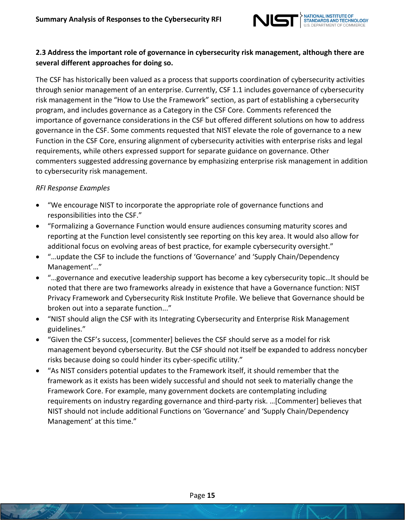

# <span id="page-14-0"></span>**2.3 Address the important role of governance in cybersecurity risk management, although there are several different approaches for doing so.**

The CSF has historically been valued as a process that supports coordination of cybersecurity activities through senior management of an enterprise. Currently, CSF 1.1 includes governance of cybersecurity risk management in the "How to Use the Framework" section, as part of establishing a cybersecurity program, and includes governance as a Category in the CSF Core. Comments referenced the importance of governance considerations in the CSF but offered different solutions on how to address governance in the CSF. Some comments requested that NIST elevate the role of governance to a new Function in the CSF Core, ensuring alignment of cybersecurity activities with enterprise risks and legal requirements, while others expressed support for separate guidance on governance. Other commenters suggested addressing governance by emphasizing enterprise risk management in addition to cybersecurity risk management.

- "We encourage NIST to incorporate the appropriate role of governance functions and responsibilities into the CSF."
- "Formalizing a Governance Function would ensure audiences consuming maturity scores and reporting at the Function level consistently see reporting on this key area. It would also allow for additional focus on evolving areas of best practice, for example cybersecurity oversight."
- "…update the CSF to include the functions of 'Governance' and 'Supply Chain/Dependency Management'…"
- "…governance and executive leadership support has become a key cybersecurity topic…It should be noted that there are two frameworks already in existence that have a Governance function: NIST Privacy Framework and Cybersecurity Risk Institute Profile. We believe that Governance should be broken out into a separate function..."
- "NIST should align the CSF with its Integrating Cybersecurity and Enterprise Risk Management guidelines."
- "Given the CSF's success, [commenter] believes the CSF should serve as a model for risk management beyond cybersecurity. But the CSF should not itself be expanded to address noncyber risks because doing so could hinder its cyber-specific utility."
- "As NIST considers potential updates to the Framework itself, it should remember that the framework as it exists has been widely successful and should not seek to materially change the Framework Core. For example, many government dockets are contemplating including requirements on industry regarding governance and third-party risk. …[Commenter] believes that NIST should not include additional Functions on 'Governance' and 'Supply Chain/Dependency Management' at this time."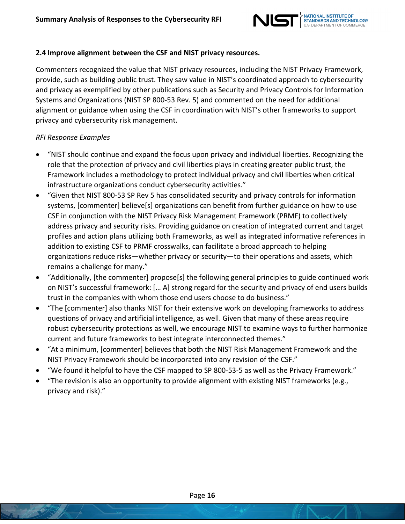

### <span id="page-15-0"></span>**2.4 Improve alignment between the CSF and NIST privacy resources.**

Commenters recognized the value that NIST privacy resources, including the NIST Privacy Framework, provide, such as building public trust. They saw value in NIST's coordinated approach to cybersecurity and privacy as exemplified by other publications such as Security and Privacy Controls for Information Systems and Organizations (NIST SP 800-53 Rev. 5) and commented on the need for additional alignment or guidance when using the CSF in coordination with NIST's other frameworks to support privacy and cybersecurity risk management.

- "NIST should continue and expand the focus upon privacy and individual liberties. Recognizing the role that the protection of privacy and civil liberties plays in creating greater public trust, the Framework includes a methodology to protect individual privacy and civil liberties when critical infrastructure organizations conduct cybersecurity activities."
- "Given that NIST 800-53 SP Rev 5 has consolidated security and privacy controls for information systems, [commenter] believe[s] organizations can benefit from further guidance on how to use CSF in conjunction with the NIST Privacy Risk Management Framework (PRMF) to collectively address privacy and security risks. Providing guidance on creation of integrated current and target profiles and action plans utilizing both Frameworks, as well as integrated informative references in addition to existing CSF to PRMF crosswalks, can facilitate a broad approach to helping organizations reduce risks—whether privacy or security—to their operations and assets, which remains a challenge for many."
- "Additionally, [the commenter] propose[s] the following general principles to guide continued work on NIST's successful framework: [… A] strong regard for the security and privacy of end users builds trust in the companies with whom those end users choose to do business."
- "The [commenter] also thanks NIST for their extensive work on developing frameworks to address questions of privacy and artificial intelligence, as well. Given that many of these areas require robust cybersecurity protections as well, we encourage NIST to examine ways to further harmonize current and future frameworks to best integrate interconnected themes."
- "At a minimum, [commenter] believes that both the NIST Risk Management Framework and the NIST Privacy Framework should be incorporated into any revision of the CSF."
- "We found it helpful to have the CSF mapped to SP 800-53-5 as well as the Privacy Framework."
- "The revision is also an opportunity to provide alignment with existing NIST frameworks (e.g., privacy and risk)."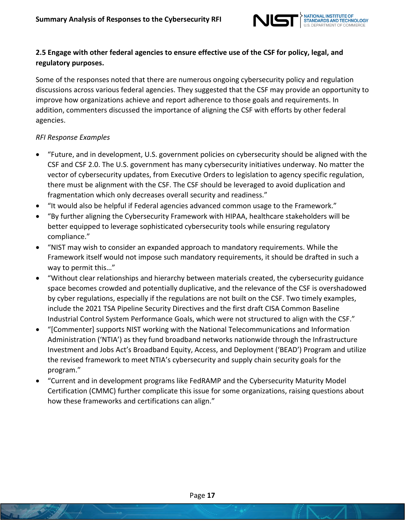

# <span id="page-16-0"></span>**2.5 Engage with other federal agencies to ensure effective use of the CSF for policy, legal, and regulatory purposes.**

Some of the responses noted that there are numerous ongoing cybersecurity policy and regulation discussions across various federal agencies. They suggested that the CSF may provide an opportunity to improve how organizations achieve and report adherence to those goals and requirements. In addition, commenters discussed the importance of aligning the CSF with efforts by other federal agencies.

- "Future, and in development, U.S. government policies on cybersecurity should be aligned with the CSF and CSF 2.0. The U.S. government has many cybersecurity initiatives underway. No matter the vector of cybersecurity updates, from Executive Orders to legislation to agency specific regulation, there must be alignment with the CSF. The CSF should be leveraged to avoid duplication and fragmentation which only decreases overall security and readiness."
- "It would also be helpful if Federal agencies advanced common usage to the Framework."
- "By further aligning the Cybersecurity Framework with HIPAA, healthcare stakeholders will be better equipped to leverage sophisticated cybersecurity tools while ensuring regulatory compliance."
- "NIST may wish to consider an expanded approach to mandatory requirements. While the Framework itself would not impose such mandatory requirements, it should be drafted in such a way to permit this…"
- "Without clear relationships and hierarchy between materials created, the cybersecurity guidance space becomes crowded and potentially duplicative, and the relevance of the CSF is overshadowed by cyber regulations, especially if the regulations are not built on the CSF. Two timely examples, include the 2021 TSA Pipeline Security Directives and the first draft CISA Common Baseline Industrial Control System Performance Goals, which were not structured to align with the CSF."
- "[Commenter] supports NIST working with the National Telecommunications and Information Administration ('NTIA') as they fund broadband networks nationwide through the Infrastructure Investment and Jobs Act's Broadband Equity, Access, and Deployment ('BEAD') Program and utilize the revised framework to meet NTIA's cybersecurity and supply chain security goals for the program."
- "Current and in development programs like FedRAMP and the Cybersecurity Maturity Model Certification (CMMC) further complicate this issue for some organizations, raising questions about how these frameworks and certifications can align."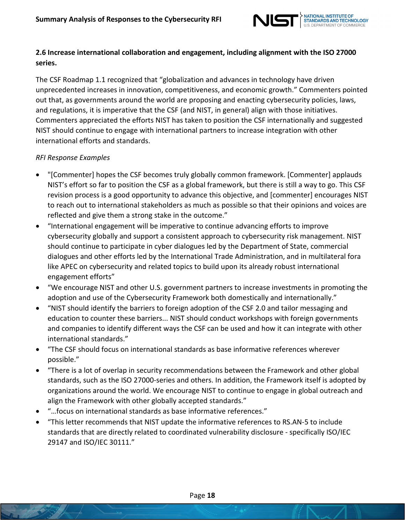

## <span id="page-17-0"></span>**2.6 Increase international collaboration and engagement, including alignment with the ISO 27000 series.**

The CSF Roadmap 1.1 recognized that "globalization and advances in technology have driven unprecedented increases in innovation, competitiveness, and economic growth." Commenters pointed out that, as governments around the world are proposing and enacting cybersecurity policies, laws, and regulations, it is imperative that the CSF (and NIST, in general) align with those initiatives. Commenters appreciated the efforts NIST has taken to position the CSF internationally and suggested NIST should continue to engage with international partners to increase integration with other international efforts and standards.

- "[Commenter] hopes the CSF becomes truly globally common framework. [Commenter] applauds NIST's effort so far to position the CSF as a global framework, but there is still a way to go. This CSF revision process is a good opportunity to advance this objective, and [commenter] encourages NIST to reach out to international stakeholders as much as possible so that their opinions and voices are reflected and give them a strong stake in the outcome."
- "International engagement will be imperative to continue advancing efforts to improve cybersecurity globally and support a consistent approach to cybersecurity risk management. NIST should continue to participate in cyber dialogues led by the Department of State, commercial dialogues and other efforts led by the International Trade Administration, and in multilateral fora like APEC on cybersecurity and related topics to build upon its already robust international engagement efforts"
- "We encourage NIST and other U.S. government partners to increase investments in promoting the adoption and use of the Cybersecurity Framework both domestically and internationally."
- "NIST should identify the barriers to foreign adoption of the CSF 2.0 and tailor messaging and education to counter these barriers... NIST should conduct workshops with foreign governments and companies to identify different ways the CSF can be used and how it can integrate with other international standards."
- "The CSF should focus on international standards as base informative references wherever possible."
- "There is a lot of overlap in security recommendations between the Framework and other global standards, such as the ISO 27000-series and others. In addition, the Framework itself is adopted by organizations around the world. We encourage NIST to continue to engage in global outreach and align the Framework with other globally accepted standards."
- "…focus on international standards as base informative references."
- "This letter recommends that NIST update the informative references to RS.AN-5 to include standards that are directly related to coordinated vulnerability disclosure - specifically ISO/IEC 29147 and ISO/IEC 30111."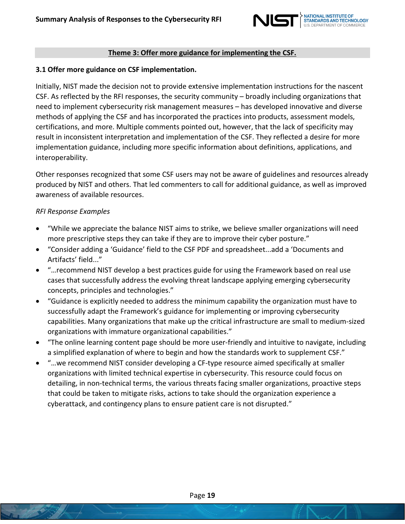

#### **Theme 3: Offer more guidance for implementing the CSF.**

#### <span id="page-18-0"></span>**3.1 Offer more guidance on CSF implementation.**

Initially, NIST made the decision not to provide extensive implementation instructions for the nascent CSF. As reflected by the RFI responses, the security community – broadly including organizations that need to implement cybersecurity risk management measures – has developed innovative and diverse methods of applying the CSF and has incorporated the practices into products, assessment models, certifications, and more. Multiple comments pointed out, however, that the lack of specificity may result in inconsistent interpretation and implementation of the CSF. They reflected a desire for more implementation guidance, including more specific information about definitions, applications, and interoperability.

Other responses recognized that some CSF users may not be aware of guidelines and resources already produced by NIST and others. That led commenters to call for additional guidance, as well as improved awareness of available resources.

- "While we appreciate the balance NIST aims to strike, we believe smaller organizations will need more prescriptive steps they can take if they are to improve their cyber posture."
- "Consider adding a 'Guidance' field to the CSF PDF and spreadsheet...add a 'Documents and Artifacts' field..."
- "…recommend NIST develop a best practices guide for using the Framework based on real use cases that successfully address the evolving threat landscape applying emerging cybersecurity concepts, principles and technologies."
- "Guidance is explicitly needed to address the minimum capability the organization must have to successfully adapt the Framework's guidance for implementing or improving cybersecurity capabilities. Many organizations that make up the critical infrastructure are small to medium-sized organizations with immature organizational capabilities."
- "The online learning content page should be more user-friendly and intuitive to navigate, including a simplified explanation of where to begin and how the standards work to supplement CSF."
- "…we recommend NIST consider developing a CF-type resource aimed specifically at smaller organizations with limited technical expertise in cybersecurity. This resource could focus on detailing, in non-technical terms, the various threats facing smaller organizations, proactive steps that could be taken to mitigate risks, actions to take should the organization experience a cyberattack, and contingency plans to ensure patient care is not disrupted."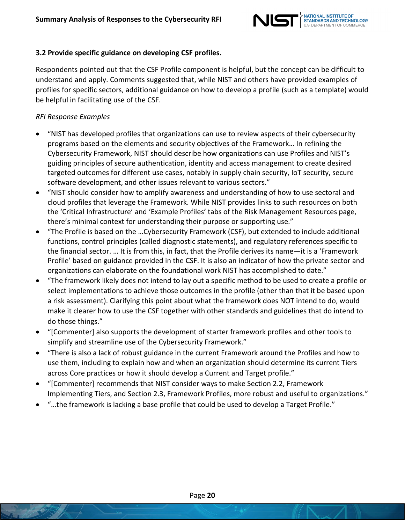

## <span id="page-19-0"></span>**3.2 Provide specific guidance on developing CSF profiles.**

Respondents pointed out that the CSF Profile component is helpful, but the concept can be difficult to understand and apply. Comments suggested that, while NIST and others have provided examples of profiles for specific sectors, additional guidance on how to develop a profile (such as a template) would be helpful in facilitating use of the CSF.

- "NIST has developed profiles that organizations can use to review aspects of their cybersecurity programs based on the elements and security objectives of the Framework… In refining the Cybersecurity Framework, NIST should describe how organizations can use Profiles and NIST's guiding principles of secure authentication, identity and access management to create desired targeted outcomes for different use cases, notably in supply chain security, IoT security, secure software development, and other issues relevant to various sectors."
- "NIST should consider how to amplify awareness and understanding of how to use sectoral and cloud profiles that leverage the Framework. While NIST provides links to such resources on both the 'Critical Infrastructure' and 'Example Profiles' tabs of the Risk Management Resources page, there's minimal context for understanding their purpose or supporting use."
- "The Profile is based on the …Cybersecurity Framework (CSF), but extended to include additional functions, control principles (called diagnostic statements), and regulatory references specific to the financial sector. … It is from this, in fact, that the Profile derives its name—it is a 'Framework Profile' based on guidance provided in the CSF. It is also an indicator of how the private sector and organizations can elaborate on the foundational work NIST has accomplished to date."
- "The framework likely does not intend to lay out a specific method to be used to create a profile or select implementations to achieve those outcomes in the profile (other than that it be based upon a risk assessment). Clarifying this point about what the framework does NOT intend to do, would make it clearer how to use the CSF together with other standards and guidelines that do intend to do those things."
- "[Commenter] also supports the development of starter framework profiles and other tools to simplify and streamline use of the Cybersecurity Framework."
- "There is also a lack of robust guidance in the current Framework around the Profiles and how to use them, including to explain how and when an organization should determine its current Tiers across Core practices or how it should develop a Current and Target profile."
- "[Commenter] recommends that NIST consider ways to make Section 2.2, Framework Implementing Tiers, and Section 2.3, Framework Profiles, more robust and useful to organizations."
- "…the framework is lacking a base profile that could be used to develop a Target Profile."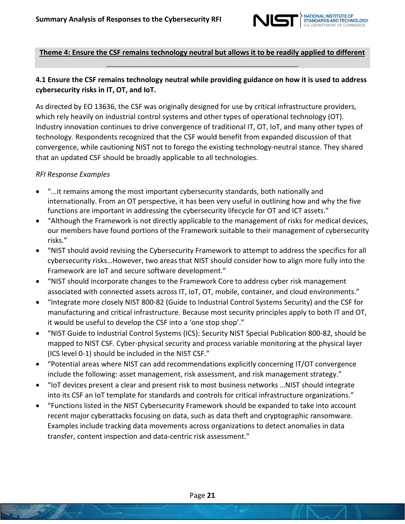

# **Theme 4: Ensure the CSF remains technology neutral but allows it to be readily applied to different technology issues – including new advances and practices.**

## <span id="page-20-0"></span>**4.1 Ensure the CSF remains technology neutral while providing guidance on how it is used to address cybersecurity risks in IT, OT, and IoT.**

As directed by EO 13636, the CSF was originally designed for use by critical infrastructure providers, which rely heavily on industrial control systems and other types of operational technology (OT). Industry innovation continues to drive convergence of traditional IT, OT, IoT, and many other types of technology. Respondents recognized that the CSF would benefit from expanded discussion of that convergence, while cautioning NIST not to forego the existing technology-neutral stance. They shared that an updated CSF should be broadly applicable to all technologies.

- "...it remains among the most important cybersecurity standards, both nationally and internationally. From an OT perspective, it has been very useful in outlining how and why the five functions are important in addressing the cybersecurity lifecycle for OT and ICT assets."
- "Although the Framework is not directly applicable to the management of risks for medical devices, our members have found portions of the Framework suitable to their management of cybersecurity risks."
- "NIST should avoid revising the Cybersecurity Framework to attempt to address the specifics for all cybersecurity risks…However, two areas that NIST should consider how to align more fully into the Framework are IoT and secure software development."
- "NIST should incorporate changes to the Framework Core to address cyber risk management associated with connected assets across IT, IoT, OT, mobile, container, and cloud environments."
- "Integrate more closely NIST 800-82 (Guide to Industrial Control Systems Security) and the CSF for manufacturing and critical infrastructure. Because most security principles apply to both IT and OT, it would be useful to develop the CSF into a 'one stop shop'."
- "NIST Guide to Industrial Control Systems (ICS): Security NIST Special Publication 800-82, should be mapped to NIST CSF. Cyber-physical security and process variable monitoring at the physical layer (ICS level 0-1) should be included in the NIST CSF."
- "Potential areas where NIST can add recommendations explicitly concerning IT/OT convergence include the following: asset management, risk assessment, and risk management strategy."
- "IoT devices present a clear and present risk to most business networks …NIST should integrate into its CSF an IoT template for standards and controls for critical infrastructure organizations."
- "Functions listed in the NIST Cybersecurity Framework should be expanded to take into account recent major cyberattacks focusing on data, such as data theft and cryptographic ransomware. Examples include tracking data movements across organizations to detect anomalies in data transfer, content inspection and data-centric risk assessment."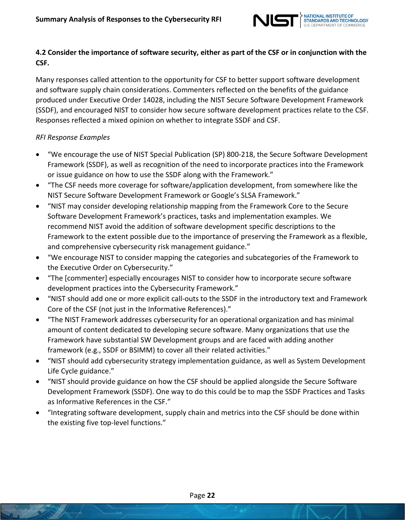

# <span id="page-21-0"></span>4.2 Consider the importance of software security, either as part of the CSF or in conjunction with the **CSF.**

Many responses called attention to the opportunity for CSF to better support software development and software supply chain considerations. Commenters reflected on the benefits of the guidance produced under Executive Order 14028, including the NIST Secure Software Development Framework (SSDF), and encouraged NIST to consider how secure software development practices relate to the CSF. Responses reflected a mixed opinion on whether to integrate SSDF and CSF.

- "We encourage the use of NIST Special Publication (SP) 800-218, the Secure Software Development Framework (SSDF), as well as recognition of the need to incorporate practices into the Framework or issue guidance on how to use the SSDF along with the Framework."
- "The CSF needs more coverage for software/application development, from somewhere like the NIST Secure Software Development Framework or Google's SLSA Framework."
- "NIST may consider developing relationship mapping from the Framework Core to the Secure Software Development Framework's practices, tasks and implementation examples. We recommend NIST avoid the addition of software development specific descriptions to the Framework to the extent possible due to the importance of preserving the Framework as a flexible, and comprehensive cybersecurity risk management guidance."
- "We encourage NIST to consider mapping the categories and subcategories of the Framework to the Executive Order on Cybersecurity."
- "The [commenter] especially encourages NIST to consider how to incorporate secure software development practices into the Cybersecurity Framework."
- "NIST should add one or more explicit call-outs to the SSDF in the introductory text and Framework Core of the CSF (not just in the Informative References)."
- "The NIST Framework addresses cybersecurity for an operational organization and has minimal amount of content dedicated to developing secure software. Many organizations that use the Framework have substantial SW Development groups and are faced with adding another framework (e.g., SSDF or BSIMM) to cover all their related activities."
- "NIST should add cybersecurity strategy implementation guidance, as well as System Development Life Cycle guidance."
- "NIST should provide guidance on how the CSF should be applied alongside the Secure Software Development Framework (SSDF). One way to do this could be to map the SSDF Practices and Tasks as Informative References in the CSF."
- "Integrating software development, supply chain and metrics into the CSF should be done within the existing five top-level functions."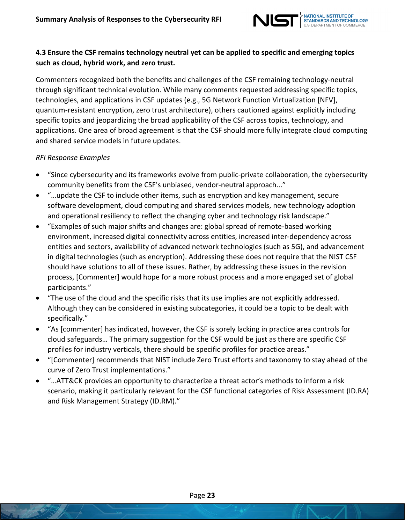

# <span id="page-22-0"></span>**4.3 Ensure the CSF remains technology neutral yet can be applied to specific and emerging topics such as cloud, hybrid work, and zero trust.**

Commenters recognized both the benefits and challenges of the CSF remaining technology-neutral through significant technical evolution. While many comments requested addressing specific topics, technologies, and applications in CSF updates (e.g., 5G Network Function Virtualization [NFV], quantum-resistant encryption, zero trust architecture), others cautioned against explicitly including specific topics and jeopardizing the broad applicability of the CSF across topics, technology, and applications. One area of broad agreement is that the CSF should more fully integrate cloud computing and shared service models in future updates.

- "Since cybersecurity and its frameworks evolve from public-private collaboration, the cybersecurity community benefits from the CSF's unbiased, vendor-neutral approach..."
- "…update the CSF to include other items, such as encryption and key management, secure software development, cloud computing and shared services models, new technology adoption and operational resiliency to reflect the changing cyber and technology risk landscape."
- "Examples of such major shifts and changes are: global spread of remote-based working environment, increased digital connectivity across entities, increased inter-dependency across entities and sectors, availability of advanced network technologies (such as 5G), and advancement in digital technologies (such as encryption). Addressing these does not require that the NIST CSF should have solutions to all of these issues. Rather, by addressing these issues in the revision process, [Commenter] would hope for a more robust process and a more engaged set of global participants."
- "The use of the cloud and the specific risks that its use implies are not explicitly addressed. Although they can be considered in existing subcategories, it could be a topic to be dealt with specifically."
- "As [commenter] has indicated, however, the CSF is sorely lacking in practice area controls for cloud safeguards… The primary suggestion for the CSF would be just as there are specific CSF profiles for industry verticals, there should be specific profiles for practice areas."
- "[Commenter] recommends that NIST include Zero Trust efforts and taxonomy to stay ahead of the curve of Zero Trust implementations."
- "…ATT&CK provides an opportunity to characterize a threat actor's methods to inform a risk scenario, making it particularly relevant for the CSF functional categories of Risk Assessment (ID.RA) and Risk Management Strategy (ID.RM)."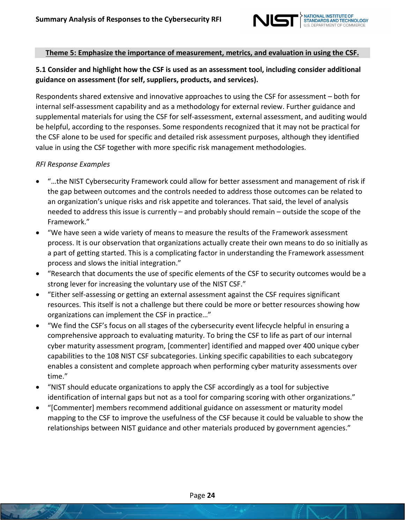

## **Theme 5: Emphasize the importance of measurement, metrics, and evaluation in using the CSF.**

# <span id="page-23-0"></span>**5.1 Consider and highlight how the CSF is used as an assessment tool, including consider additional guidance on assessment (for self, suppliers, products, and services).**

Respondents shared extensive and innovative approaches to using the CSF for assessment – both for internal self-assessment capability and as a methodology for external review. Further guidance and supplemental materials for using the CSF for self-assessment, external assessment, and auditing would be helpful, according to the responses. Some respondents recognized that it may not be practical for the CSF alone to be used for specific and detailed risk assessment purposes, although they identified value in using the CSF together with more specific risk management methodologies.

- "…the NIST Cybersecurity Framework could allow for better assessment and management of risk if the gap between outcomes and the controls needed to address those outcomes can be related to an organization's unique risks and risk appetite and tolerances. That said, the level of analysis needed to address this issue is currently – and probably should remain – outside the scope of the Framework."
- "We have seen a wide variety of means to measure the results of the Framework assessment process. It is our observation that organizations actually create their own means to do so initially as a part of getting started. This is a complicating factor in understanding the Framework assessment process and slows the initial integration."
- "Research that documents the use of specific elements of the CSF to security outcomes would be a strong lever for increasing the voluntary use of the NIST CSF."
- "Either self-assessing or getting an external assessment against the CSF requires significant resources. This itself is not a challenge but there could be more or better resources showing how organizations can implement the CSF in practice…"
- "We find the CSF's focus on all stages of the cybersecurity event lifecycle helpful in ensuring a comprehensive approach to evaluating maturity. To bring the CSF to life as part of our internal cyber maturity assessment program, [commenter] identified and mapped over 400 unique cyber capabilities to the 108 NIST CSF subcategories. Linking specific capabilities to each subcategory enables a consistent and complete approach when performing cyber maturity assessments over time."
- "NIST should educate organizations to apply the CSF accordingly as a tool for subjective identification of internal gaps but not as a tool for comparing scoring with other organizations."
- "[Commenter] members recommend additional guidance on assessment or maturity model mapping to the CSF to improve the usefulness of the CSF because it could be valuable to show the relationships between NIST guidance and other materials produced by government agencies."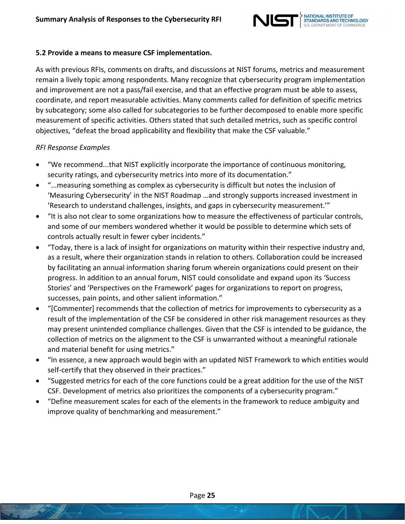

#### <span id="page-24-0"></span>**5.2 Provide a means to measure CSF [implementation.](#page-24-0)**

As with previous RFIs, comments on drafts, and discussions at NIST forums, metrics and measurement remain a lively topic among respondents. Many recognize that cybersecurity program implementation and improvement are not a pass/fail exercise, and that an effective program must be able to assess, coordinate, and report measurable activities. Many comments called for definition of specific metrics by subcategory; some also called for subcategories to be further decomposed to enable more specific measurement of specific activities. Others stated that such detailed metrics, such as specific control objectives, "defeat the broad applicability and flexibility that make the CSF valuable."

- "We recommend...that NIST explicitly incorporate the importance of continuous monitoring, security ratings, and cybersecurity metrics into more of its documentation."
- "...measuring something as complex as cybersecurity is difficult but notes the inclusion of 'Measuring Cybersecurity' in the NIST Roadmap …and strongly supports increased investment in 'Research to understand challenges, insights, and gaps in cybersecurity measurement.'"
- "It is also not clear to some organizations how to measure the effectiveness of particular controls, and some of our members wondered whether it would be possible to determine which sets of controls actually result in fewer cyber incidents."
- "Today, there is a lack of insight for organizations on maturity within their respective industry and, as a result, where their organization stands in relation to others. Collaboration could be increased by facilitating an annual information sharing forum wherein organizations could present on their progress. In addition to an annual forum, NIST could consolidate and expand upon its 'Success Stories' and 'Perspectives on the Framework' pages for organizations to report on progress, successes, pain points, and other salient information."
- "[Commenter] recommends that the collection of metrics for improvements to cybersecurity as a result of the implementation of the CSF be considered in other risk management resources as they may present unintended compliance challenges. Given that the CSF is intended to be guidance, the collection of metrics on the alignment to the CSF is unwarranted without a meaningful rationale and material benefit for using metrics."
- "In essence, a new approach would begin with an updated NIST Framework to which entities would self-certify that they observed in their practices."
- "Suggested metrics for each of the core functions could be a great addition for the use of the NIST CSF. Development of metrics also prioritizes the components of a cybersecurity program."
- "Define measurement scales for each of the elements in the framework to reduce ambiguity and improve quality of benchmarking and measurement."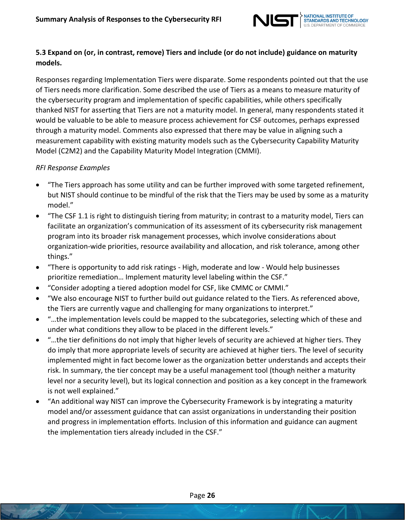

## <span id="page-25-0"></span>**5.3 Expand on (or, in contrast, remove) Tiers and include (or do not include) guidance on maturity models.**

Responses regarding Implementation Tiers were disparate. Some respondents pointed out that the use of Tiers needs more clarification. Some described the use of Tiers as a means to measure maturity of the cybersecurity program and implementation of specific capabilities, while others specifically thanked NIST for asserting that Tiers are not a maturity model. In general, many respondents stated it would be valuable to be able to measure process achievement for CSF outcomes, perhaps expressed through a maturity model. Comments also expressed that there may be value in aligning such a measurement capability with existing maturity models such as the Cybersecurity Capability Maturity Model (C2M2) and the Capability Maturity Model Integration (CMMI).

- "The Tiers approach has some utility and can be further improved with some targeted refinement, but NIST should continue to be mindful of the risk that the Tiers may be used by some as a maturity model."
- "The CSF 1.1 is right to distinguish tiering from maturity; in contrast to a maturity model, Tiers can facilitate an organization's communication of its assessment of its cybersecurity risk management program into its broader risk management processes, which involve considerations about organization-wide priorities, resource availability and allocation, and risk tolerance, among other things."
- "There is opportunity to add risk ratings High, moderate and low Would help businesses prioritize remediation… Implement maturity level labeling within the CSF."
- "Consider adopting a tiered adoption model for CSF, like CMMC or CMMI."
- "We also encourage NIST to further build out guidance related to the Tiers. As referenced above, the Tiers are currently vague and challenging for many organizations to interpret."
- "…the implementation levels could be mapped to the subcategories, selecting which of these and under what conditions they allow to be placed in the different levels."
- "…the tier definitions do not imply that higher levels of security are achieved at higher tiers. They do imply that more appropriate levels of security are achieved at higher tiers. The level of security implemented might in fact become lower as the organization better understands and accepts their risk. In summary, the tier concept may be a useful management tool (though neither a maturity level nor a security level), but its logical connection and position as a key concept in the framework is not well explained."
- "An additional way NIST can improve the Cybersecurity Framework is by integrating a maturity model and/or assessment guidance that can assist organizations in understanding their position and progress in implementation efforts. Inclusion of this information and guidance can augment the implementation tiers already included in the CSF."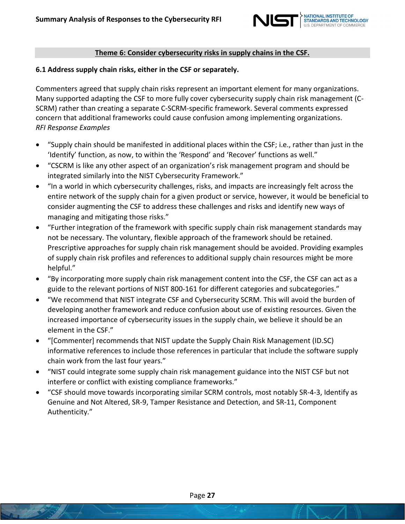

### **Theme 6: Consider cybersecurity risks in supply chains in the CSF.**

#### <span id="page-26-0"></span>**6.1 Address supply chain risks, either in the CSF or separately.**

Commenters agreed that supply chain risks represent an important element for many organizations. Many supported adapting the CSF to more fully cover cybersecurity supply chain risk management (C-SCRM) rather than creating a separate C-SCRM-specific framework. Several comments expressed concern that additional frameworks could cause confusion among implementing organizations. *RFI Response Examples*

- "Supply chain should be manifested in additional places within the CSF; i.e., rather than just in the 'Identify' function, as now, to within the 'Respond' and 'Recover' functions as well."
- "CSCRM is like any other aspect of an organization's risk management program and should be integrated similarly into the NIST Cybersecurity Framework."
- "In a world in which cybersecurity challenges, risks, and impacts are increasingly felt across the entire network of the supply chain for a given product or service, however, it would be beneficial to consider augmenting the CSF to address these challenges and risks and identify new ways of managing and mitigating those risks."
- "Further integration of the framework with specific supply chain risk management standards may not be necessary. The voluntary, flexible approach of the framework should be retained. Prescriptive approaches for supply chain risk management should be avoided. Providing examples of supply chain risk profiles and references to additional supply chain resources might be more helpful."
- "By incorporating more supply chain risk management content into the CSF, the CSF can act as a guide to the relevant portions of NIST 800-161 for different categories and subcategories."
- "We recommend that NIST integrate CSF and Cybersecurity SCRM. This will avoid the burden of developing another framework and reduce confusion about use of existing resources. Given the increased importance of cybersecurity issues in the supply chain, we believe it should be an element in the CSF."
- "[Commenter] recommends that NIST update the Supply Chain Risk Management (ID.SC) informative references to include those references in particular that include the software supply chain work from the last four years."
- "NIST could integrate some supply chain risk management guidance into the NIST CSF but not interfere or conflict with existing compliance frameworks."
- "CSF should move towards incorporating similar SCRM controls, most notably SR-4-3, Identify as Genuine and Not Altered, SR-9, Tamper Resistance and Detection, and SR-11, Component Authenticity."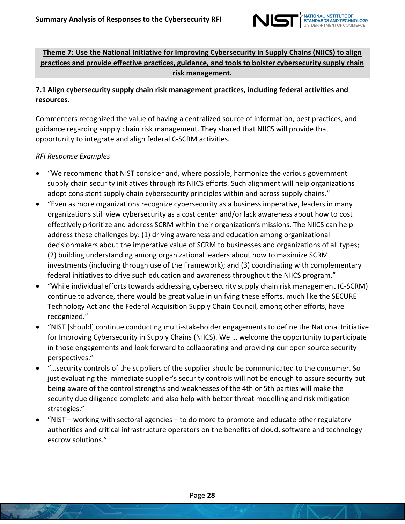

# **Theme 7: Use the National Initiative for Improving Cybersecurity in Supply Chains (NIICS) to align practices and provide effective practices, guidance, and tools to bolster cybersecurity supply chain risk management.**

# <span id="page-27-0"></span>**7.1 Align cybersecurity supply chain risk management practices, including federal activities and resources.**

Commenters recognized the value of having a centralized source of information, best practices, and guidance regarding supply chain risk management. They shared that NIICS will provide that opportunity to integrate and align federal C-SCRM activities.

- "We recommend that NIST consider and, where possible, harmonize the various government supply chain security initiatives through its NIICS efforts. Such alignment will help organizations adopt consistent supply chain cybersecurity principles within and across supply chains."
- "Even as more organizations recognize cybersecurity as a business imperative, leaders in many organizations still view cybersecurity as a cost center and/or lack awareness about how to cost effectively prioritize and address SCRM within their organization's missions. The NIICS can help address these challenges by: (1) driving awareness and education among organizational decisionmakers about the imperative value of SCRM to businesses and organizations of all types; (2) building understanding among organizational leaders about how to maximize SCRM investments (including through use of the Framework); and (3) coordinating with complementary federal initiatives to drive such education and awareness throughout the NIICS program."
- "While individual efforts towards addressing cybersecurity supply chain risk management (C-SCRM) continue to advance, there would be great value in unifying these efforts, much like the SECURE Technology Act and the Federal Acquisition Supply Chain Council, among other efforts, have recognized."
- "NIST [should] continue conducting multi-stakeholder engagements to define the National Initiative for Improving Cybersecurity in Supply Chains (NIICS). We … welcome the opportunity to participate in those engagements and look forward to collaborating and providing our open source security perspectives."
- "…security controls of the suppliers of the supplier should be communicated to the consumer. So just evaluating the immediate supplier's security controls will not be enough to assure security but being aware of the control strengths and weaknesses of the 4th or 5th parties will make the security due diligence complete and also help with better threat modelling and risk mitigation strategies."
- "NIST working with sectoral agencies to do more to promote and educate other regulatory authorities and critical infrastructure operators on the benefits of cloud, software and technology escrow solutions."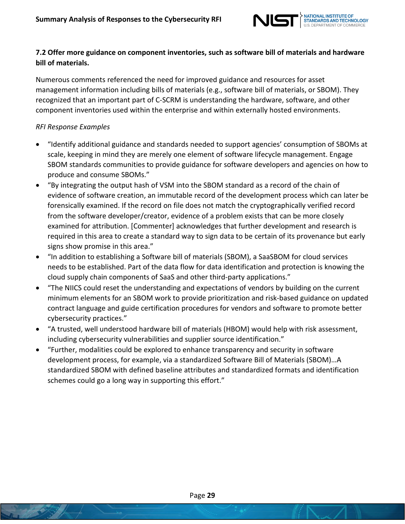

## <span id="page-28-0"></span>**7.2 Offer more guidance on component inventories, such as software bill of materials and hardware bill of materials.**

Numerous comments referenced the need for improved guidance and resources for asset management information including bills of materials (e.g., software bill of materials, or SBOM). They recognized that an important part of C-SCRM is understanding the hardware, software, and other component inventories used within the enterprise and within externally hosted environments.

- "Identify additional guidance and standards needed to support agencies' consumption of SBOMs at scale, keeping in mind they are merely one element of software lifecycle management. Engage SBOM standards communities to provide guidance for software developers and agencies on how to produce and consume SBOMs."
- "By integrating the output hash of VSM into the SBOM standard as a record of the chain of evidence of software creation, an immutable record of the development process which can later be forensically examined. If the record on file does not match the cryptographically verified record from the software developer/creator, evidence of a problem exists that can be more closely examined for attribution. [Commenter] acknowledges that further development and research is required in this area to create a standard way to sign data to be certain of its provenance but early signs show promise in this area."
- "In addition to establishing a Software bill of materials (SBOM), a SaaSBOM for cloud services needs to be established. Part of the data flow for data identification and protection is knowing the cloud supply chain components of SaaS and other third-party applications."
- "The NIICS could reset the understanding and expectations of vendors by building on the current minimum elements for an SBOM work to provide prioritization and risk-based guidance on updated contract language and guide certification procedures for vendors and software to promote better cybersecurity practices."
- "A trusted, well understood hardware bill of materials (HBOM) would help with risk assessment, including cybersecurity vulnerabilities and supplier source identification."
- "Further, modalities could be explored to enhance transparency and security in software development process, for example, via a standardized Software Bill of Materials (SBOM)…A standardized SBOM with defined baseline attributes and standardized formats and identification schemes could go a long way in supporting this effort."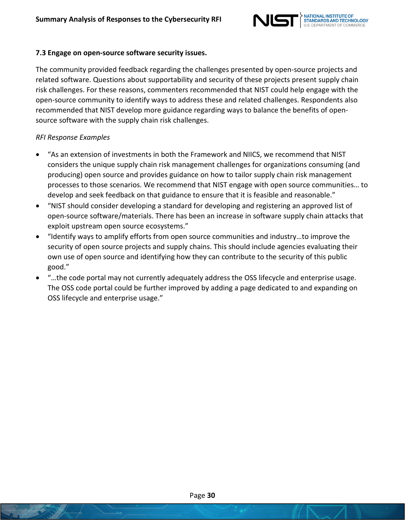

#### <span id="page-29-0"></span>**7.3 Engage on open-source software security issues.**

The community provided feedback regarding the challenges presented by open-source projects and related software. Questions about supportability and security of these projects present supply chain risk challenges. For these reasons, commenters recommended that NIST could help engage with the open-source community to identify ways to address these and related challenges. Respondents also recommended that NIST develop more guidance regarding ways to balance the benefits of opensource software with the supply chain risk challenges.

- "As an extension of investments in both the Framework and NIICS, we recommend that NIST considers the unique supply chain risk management challenges for organizations consuming (and producing) open source and provides guidance on how to tailor supply chain risk management processes to those scenarios. We recommend that NIST engage with open source communities… to develop and seek feedback on that guidance to ensure that it is feasible and reasonable."
- "NIST should consider developing a standard for developing and registering an approved list of open-source software/materials. There has been an increase in software supply chain attacks that exploit upstream open source ecosystems."
- "Identify ways to amplify efforts from open source communities and industry…to improve the security of open source projects and supply chains. This should include agencies evaluating their own use of open source and identifying how they can contribute to the security of this public good."
- "…the code portal may not currently adequately address the OSS lifecycle and enterprise usage. The OSS code portal could be further improved by adding a page dedicated to and expanding on OSS lifecycle and enterprise usage."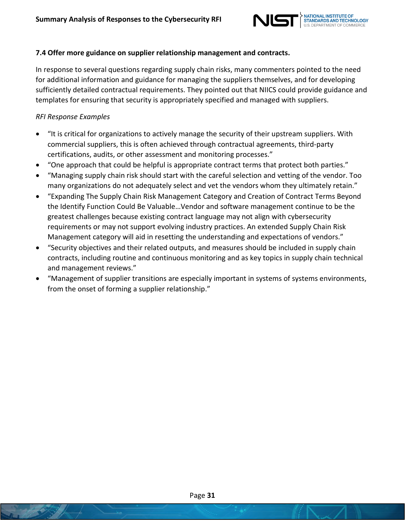

## <span id="page-30-0"></span>**7.4 Offer more guidance on supplier relationship management and contracts.**

In response to several questions regarding supply chain risks, many commenters pointed to the need for additional information and guidance for managing the suppliers themselves, and for developing sufficiently detailed contractual requirements. They pointed out that NIICS could provide guidance and templates for ensuring that security is appropriately specified and managed with suppliers.

- "It is critical for organizations to actively manage the security of their upstream suppliers. With commercial suppliers, this is often achieved through contractual agreements, third-party certifications, audits, or other assessment and monitoring processes."
- "One approach that could be helpful is appropriate contract terms that protect both parties."
- "Managing supply chain risk should start with the careful selection and vetting of the vendor. Too many organizations do not adequately select and vet the vendors whom they ultimately retain."
- "Expanding The Supply Chain Risk Management Category and Creation of Contract Terms Beyond the Identify Function Could Be Valuable…Vendor and software management continue to be the greatest challenges because existing contract language may not align with cybersecurity requirements or may not support evolving industry practices. An extended Supply Chain Risk Management category will aid in resetting the understanding and expectations of vendors."
- "Security objectives and their related outputs, and measures should be included in supply chain contracts, including routine and continuous monitoring and as key topics in supply chain technical and management reviews."
- "Management of supplier transitions are especially important in systems of systems environments, from the onset of forming a supplier relationship."